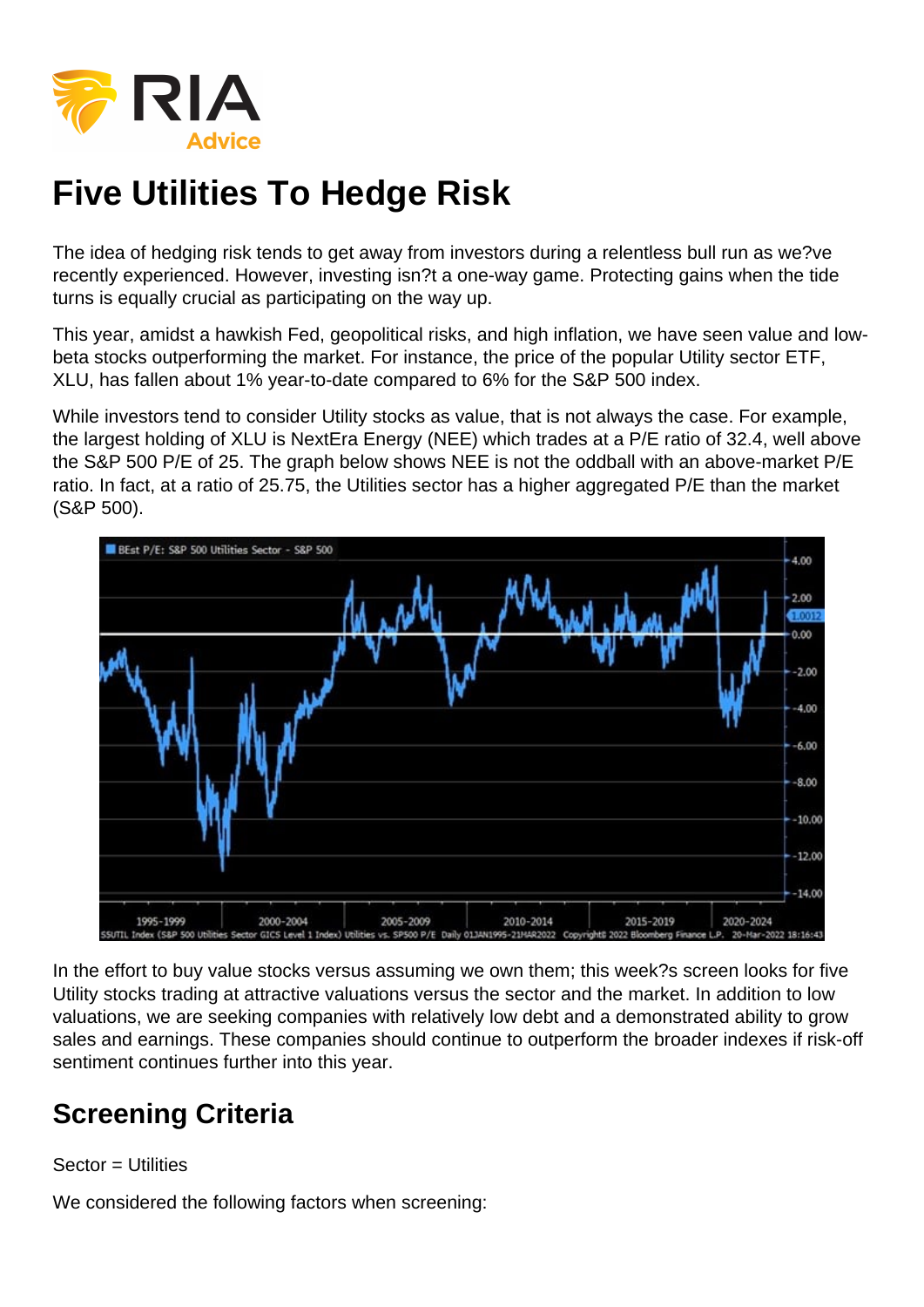The idea of hedging risk tends to get away from investors during a relentless bull run as we?ve recently experienced. However, investing isn?t a one-way game. Protecting gains when the tide turns is equally crucial as participating on the way up.

This year, amidst a hawkish Fed, geopolitical risks, and high inflation, we have seen value and lowbeta stocks outperforming the market. For instance, the price of the popular Utility sector ETF, XLU, has fallen about 1% year-to-date compared to 6% for the S&P 500 index.

While investors tend to consider Utility stocks as value, that is not always the case. For example, the largest holding of XLU is NextEra Energy (NEE) which trades at a P/E ratio of 32.4, well above the S&P 500 P/E of 25. The graph below shows NEE is not the oddball with an above-market P/E ratio. In fact, at a ratio of 25.75, the Utilities sector has a higher aggregated P/E than the market (S&P 500).

In the effort to buy value stocks versus assuming we own them; this week?s screen looks for five Utility stocks trading at attractive valuations versus the sector and the market. In addition to low valuations, we are seeking companies with relatively low debt and a demonstrated ability to grow sales and earnings. These companies should continue to outperform the broader indexes if risk-off sentiment continues further into this year.

## Screening Criteria

#### $Sector = **Utilities**$

We considered the following factors when screening: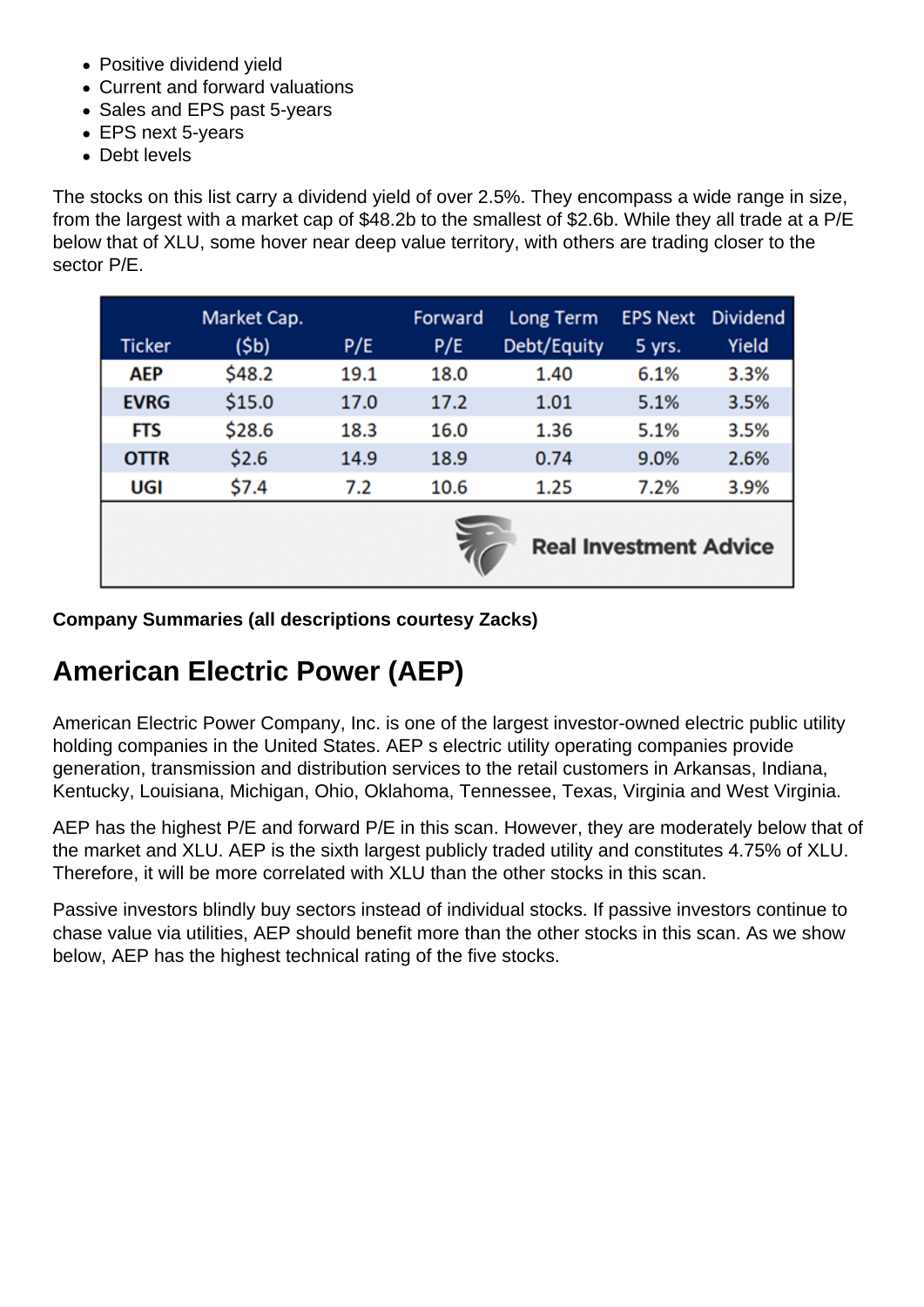- Positive dividend yield
- Current and forward valuations
- Sales and EPS past 5-years
- EPS next 5-years
- Debt levels

The stocks on this list carry a dividend yield of over 2.5%. They encompass a wide range in size, from the largest with a market cap of \$48.2b to the smallest of \$2.6b. While they all trade at a P/E below that of XLU, some hover near deep value territory, with others are trading closer to the sector P/E.

Company Summaries (all descriptions courtesy Zacks)

### American Electric Power (AEP)

American Electric Power Company, Inc. is one of the largest investor-owned electric public utility holding companies in the United States. AEP s electric utility operating companies provide generation, transmission and distribution services to the retail customers in Arkansas, Indiana, Kentucky, Louisiana, Michigan, Ohio, Oklahoma, Tennessee, Texas, Virginia and West Virginia.

AEP has the highest P/E and forward P/E in this scan. However, they are moderately below that of the market and XLU. AEP is the sixth largest publicly traded utility and constitutes 4.75% of XLU. Therefore, it will be more correlated with XLU than the other stocks in this scan.

Passive investors blindly buy sectors instead of individual stocks. If passive investors continue to chase value via utilities, AEP should benefit more than the other stocks in this scan. As we show below, AEP has the highest technical rating of the five stocks.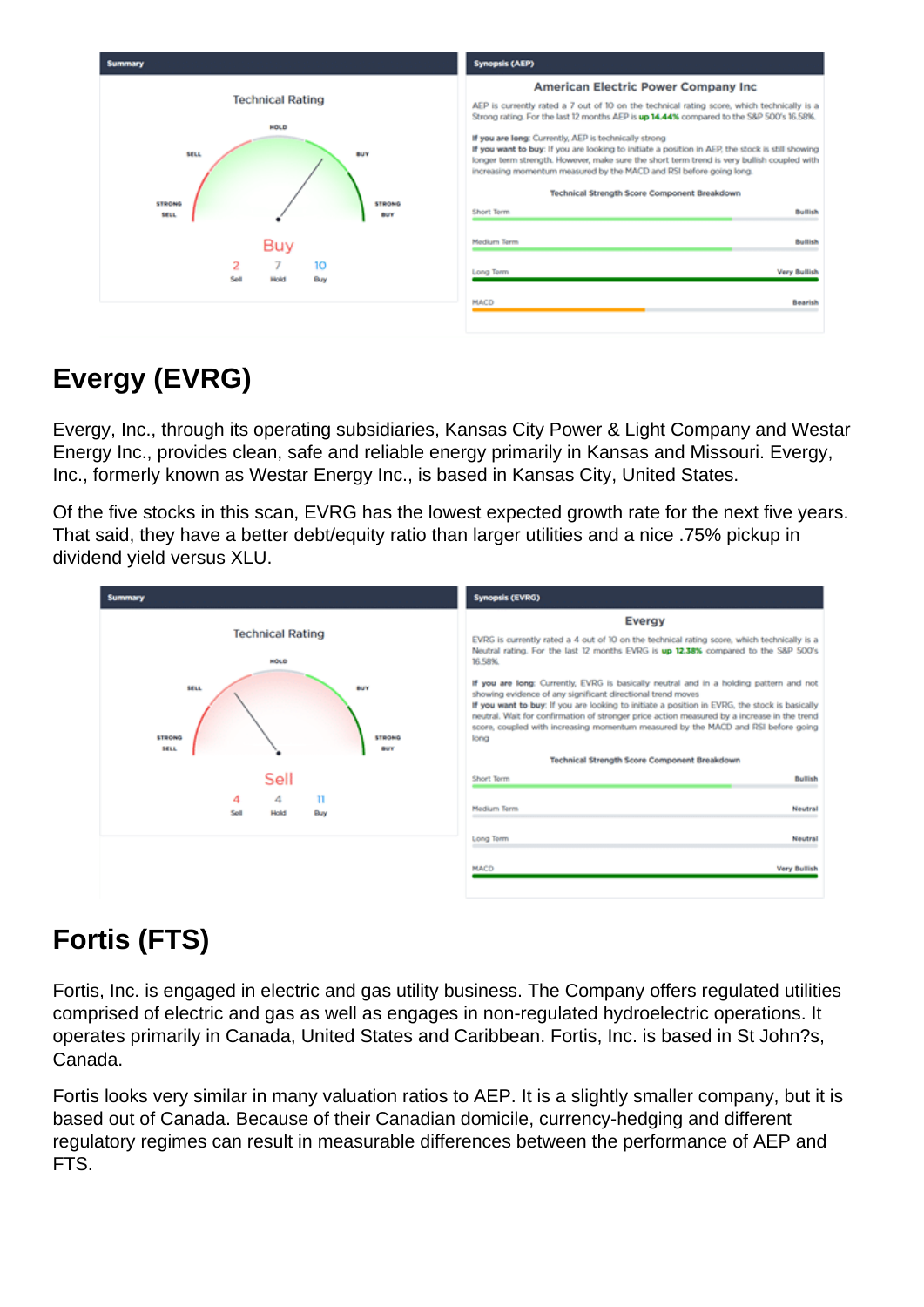# Evergy (EVRG)

Evergy, Inc., through its operating subsidiaries, Kansas City Power & Light Company and Westar Energy Inc., provides clean, safe and reliable energy primarily in Kansas and Missouri. Evergy, Inc., formerly known as Westar Energy Inc., is based in Kansas City, United States.

Of the five stocks in this scan, EVRG has the lowest expected growth rate for the next five years. That said, they have a better debt/equity ratio than larger utilities and a nice .75% pickup in dividend yield versus XLU.

# Fortis (FTS)

Fortis, Inc. is engaged in electric and gas utility business. The Company offers regulated utilities comprised of electric and gas as well as engages in non-regulated hydroelectric operations. It operates primarily in Canada, United States and Caribbean. Fortis, Inc. is based in St John?s, Canada.

Fortis looks very similar in many valuation ratios to AEP. It is a slightly smaller company, but it is based out of Canada. Because of their Canadian domicile, currency-hedging and different regulatory regimes can result in measurable differences between the performance of AEP and FTS.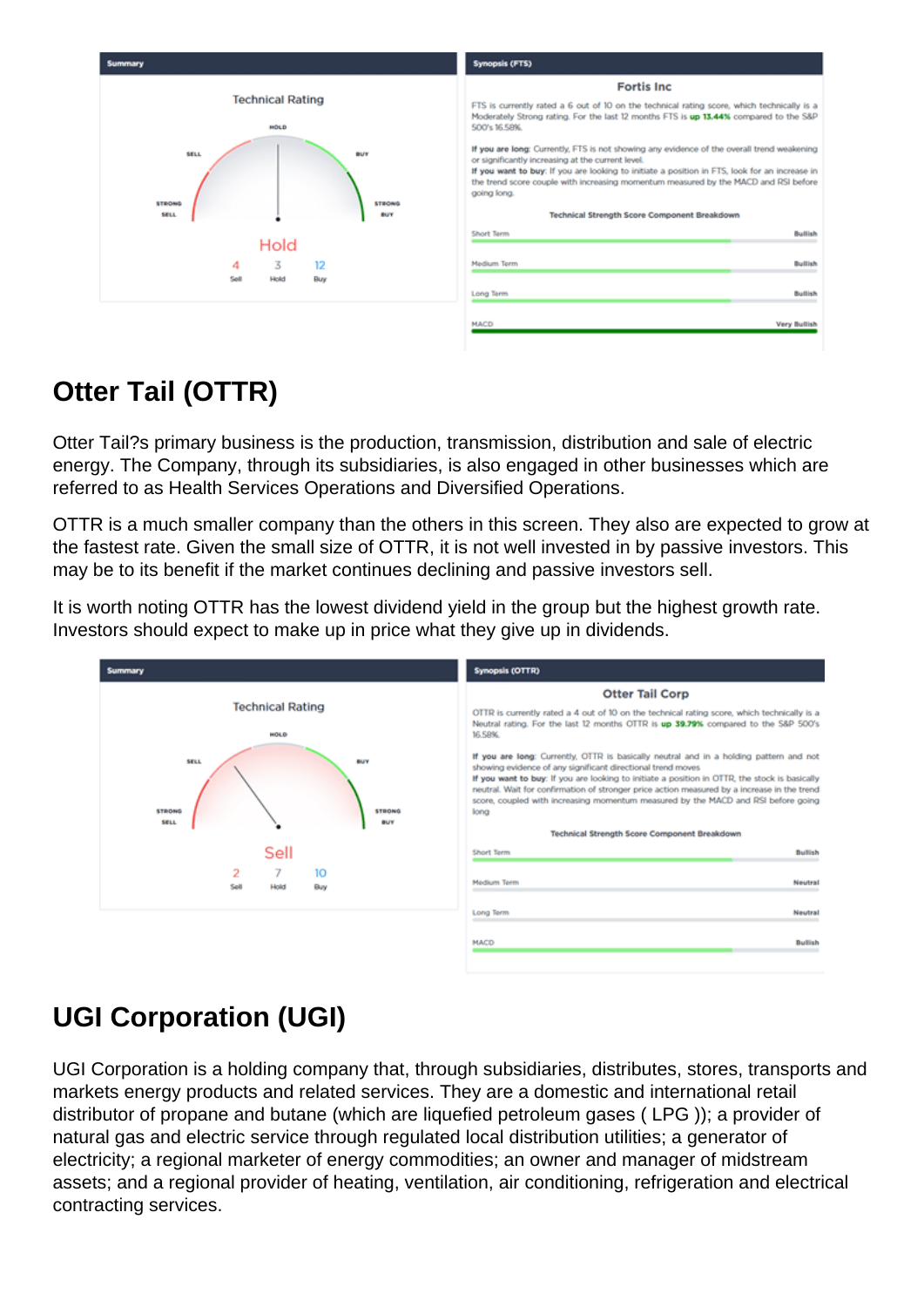# Otter Tail (OTTR)

Otter Tail?s primary business is the production, transmission, distribution and sale of electric energy. The Company, through its subsidiaries, is also engaged in other businesses which are referred to as Health Services Operations and Diversified Operations.

OTTR is a much smaller company than the others in this screen. They also are expected to grow at the fastest rate. Given the small size of OTTR, it is not well invested in by passive investors. This may be to its benefit if the market continues declining and passive investors sell.

It is worth noting OTTR has the lowest dividend yield in the group but the highest growth rate. Investors should expect to make up in price what they give up in dividends.

# UGI Corporation (UGI)

UGI Corporation is a holding company that, through subsidiaries, distributes, stores, transports and markets energy products and related services. They are a domestic and international retail distributor of propane and butane (which are liquefied petroleum gases ( LPG )); a provider of natural gas and electric service through regulated local distribution utilities; a generator of electricity; a regional marketer of energy commodities; an owner and manager of midstream assets; and a regional provider of heating, ventilation, air conditioning, refrigeration and electrical contracting services.